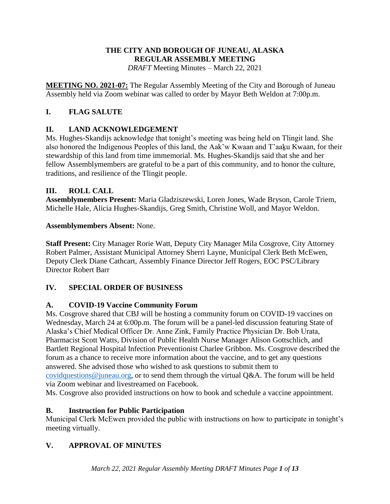### **THE CITY AND BOROUGH OF JUNEAU, ALASKA REGULAR ASSEMBLY MEETING** *DRAFT* Meeting Minutes – March 22, 2021

**MEETING NO. 2021-07:** The Regular Assembly Meeting of the City and Borough of Juneau Assembly held via Zoom webinar was called to order by Mayor Beth Weldon at 7:00p.m.

# **I. FLAG SALUTE**

# **II. LAND ACKNOWLEDGEMENT**

Ms. Hughes-Skandijs acknowledge that tonight's meeting was being held on Tlingit land. She also honored the Indigenous Peoples of this land, the Aak'w Kwaan and T'aaku Kwaan, for their stewardship of this land from time immemorial. Ms. Hughes-Skandijs said that she and her fellow Assemblymembers are grateful to be a part of this community, and to honor the culture, traditions, and resilience of the Tlingit people.

## **III. ROLL CALL**

**Assemblymembers Present:** Maria Gladziszewski, Loren Jones, Wade Bryson, Carole Triem, Michelle Hale, Alicia Hughes-Skandijs, Greg Smith, Christine Woll, and Mayor Weldon.

## **Assemblymembers Absent:** None.

**Staff Present:** City Manager Rorie Watt, Deputy City Manager Mila Cosgrove, City Attorney Robert Palmer, Assistant Municipal Attorney Sherri Layne, Municipal Clerk Beth McEwen, Deputy Clerk Diane Cathcart, Assembly Finance Director Jeff Rogers, EOC PSC/Library Director Robert Barr

# **IV. SPECIAL ORDER OF BUSINESS**

# **A. COVID-19 Vaccine Community Forum**

Ms. Cosgrove shared that CBJ will be hosting a community forum on COVID-19 vaccines on Wednesday, March 24 at 6:00p.m. The forum will be a panel-led discussion featuring State of Alaska's Chief Medical Officer Dr. Anne Zink, Family Practice Physician Dr. Bob Urata, Pharmacist Scott Watts, Division of Public Health Nurse Manager Alison Gottschlich, and Bartlett Regional Hospital Infection Preventionist Charlee Gribbon. Ms. Cosgrove described the forum as a chance to receive more information about the vaccine, and to get any questions answered. She advised those who wished to ask questions to submit them to [covidquestions@juneau.org,](mailto:covidquestions@juneau.org) or to send them through the virtual Q&A. The forum will be held via Zoom webinar and livestreamed on Facebook.

Ms. Cosgrove also provided instructions on how to book and schedule a vaccine appointment.

# **B. Instruction for Public Participation**

Municipal Clerk McEwen provided the public with instructions on how to participate in tonight's meeting virtually.

# **V. APPROVAL OF MINUTES**

*March 22, 2021 Regular Assembly Meeting DRAFT Minutes Page 1 of 13*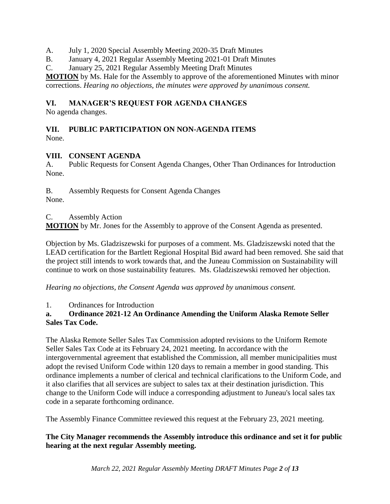- A. July 1, 2020 Special Assembly Meeting 2020-35 Draft Minutes
- B. January 4, 2021 Regular Assembly Meeting 2021-01 Draft Minutes
- C. January 25, 2021 Regular Assembly Meeting Draft Minutes

**MOTION** by Ms. Hale for the Assembly to approve of the aforementioned Minutes with minor corrections. *Hearing no objections, the minutes were approved by unanimous consent.* 

## **VI. MANAGER'S REQUEST FOR AGENDA CHANGES**

No agenda changes.

#### **VII. PUBLIC PARTICIPATION ON NON-AGENDA ITEMS** None.

## **VIII. CONSENT AGENDA**

A. Public Requests for Consent Agenda Changes, Other Than Ordinances for Introduction None.

B. Assembly Requests for Consent Agenda Changes None.

### C. Assembly Action

**MOTION** by Mr. Jones for the Assembly to approve of the Consent Agenda as presented.

Objection by Ms. Gladziszewski for purposes of a comment. Ms. Gladziszewski noted that the LEAD certification for the Bartlett Regional Hospital Bid award had been removed. She said that the project still intends to work towards that, and the Juneau Commission on Sustainability will continue to work on those sustainability features. Ms. Gladziszewski removed her objection.

*Hearing no objections, the Consent Agenda was approved by unanimous consent.* 

#### 1. Ordinances for Introduction

### **a. Ordinance 2021-12 An Ordinance Amending the Uniform Alaska Remote Seller Sales Tax Code.**

The Alaska Remote Seller Sales Tax Commission adopted revisions to the Uniform Remote Seller Sales Tax Code at its February 24, 2021 meeting. In accordance with the intergovernmental agreement that established the Commission, all member municipalities must adopt the revised Uniform Code within 120 days to remain a member in good standing. This ordinance implements a number of clerical and technical clarifications to the Uniform Code, and it also clarifies that all services are subject to sales tax at their destination jurisdiction. This change to the Uniform Code will induce a corresponding adjustment to Juneau's local sales tax code in a separate forthcoming ordinance.

The Assembly Finance Committee reviewed this request at the February 23, 2021 meeting.

### **The City Manager recommends the Assembly introduce this ordinance and set it for public hearing at the next regular Assembly meeting.**

*March 22, 2021 Regular Assembly Meeting DRAFT Minutes Page 2 of 13*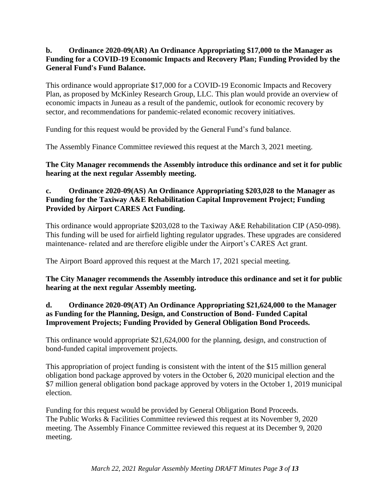## **b. Ordinance 2020-09(AR) An Ordinance Appropriating \$17,000 to the Manager as Funding for a COVID-19 Economic Impacts and Recovery Plan; Funding Provided by the General Fund's Fund Balance.**

This ordinance would appropriate \$17,000 for a COVID-19 Economic Impacts and Recovery Plan, as proposed by McKinley Research Group, LLC. This plan would provide an overview of economic impacts in Juneau as a result of the pandemic, outlook for economic recovery by sector, and recommendations for pandemic-related economic recovery initiatives.

Funding for this request would be provided by the General Fund's fund balance.

The Assembly Finance Committee reviewed this request at the March 3, 2021 meeting.

**The City Manager recommends the Assembly introduce this ordinance and set it for public hearing at the next regular Assembly meeting.**

## **c. Ordinance 2020-09(AS) An Ordinance Appropriating \$203,028 to the Manager as Funding for the Taxiway A&E Rehabilitation Capital Improvement Project; Funding Provided by Airport CARES Act Funding.**

This ordinance would appropriate \$203,028 to the Taxiway A&E Rehabilitation CIP (A50-098). This funding will be used for airfield lighting regulator upgrades. These upgrades are considered maintenance- related and are therefore eligible under the Airport's CARES Act grant.

The Airport Board approved this request at the March 17, 2021 special meeting.

## **The City Manager recommends the Assembly introduce this ordinance and set it for public hearing at the next regular Assembly meeting.**

## **d. Ordinance 2020-09(AT) An Ordinance Appropriating \$21,624,000 to the Manager as Funding for the Planning, Design, and Construction of Bond- Funded Capital Improvement Projects; Funding Provided by General Obligation Bond Proceeds.**

This ordinance would appropriate \$21,624,000 for the planning, design, and construction of bond-funded capital improvement projects.

This appropriation of project funding is consistent with the intent of the \$15 million general obligation bond package approved by voters in the October 6, 2020 municipal election and the \$7 million general obligation bond package approved by voters in the October 1, 2019 municipal election.

Funding for this request would be provided by General Obligation Bond Proceeds. The Public Works & Facilities Committee reviewed this request at its November 9, 2020 meeting. The Assembly Finance Committee reviewed this request at its December 9, 2020 meeting.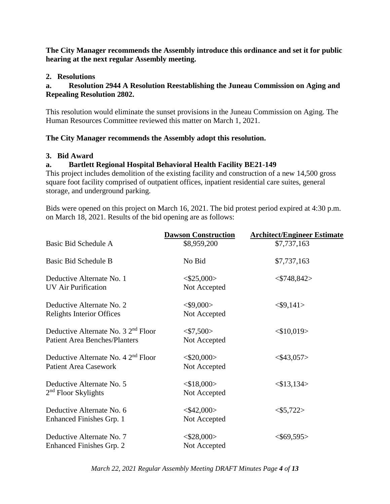**The City Manager recommends the Assembly introduce this ordinance and set it for public hearing at the next regular Assembly meeting.**

### **2. Resolutions**

## **a. Resolution 2944 A Resolution Reestablishing the Juneau Commission on Aging and Repealing Resolution 2802.**

This resolution would eliminate the sunset provisions in the Juneau Commission on Aging. The Human Resources Committee reviewed this matter on March 1, 2021.

### **The City Manager recommends the Assembly adopt this resolution.**

### **3. Bid Award**

## **a. Bartlett Regional Hospital Behavioral Health Facility BE21-149**

This project includes demolition of the existing facility and construction of a new 14,500 gross square foot facility comprised of outpatient offices, inpatient residential care suites, general storage, and underground parking.

Bids were opened on this project on March 16, 2021. The bid protest period expired at 4:30 p.m. on March 18, 2021. Results of the bid opening are as follows:

|                                                                              | <b>Dawson Construction</b>           | <b>Architect/Engineer Estimate</b> |
|------------------------------------------------------------------------------|--------------------------------------|------------------------------------|
| Basic Bid Schedule A                                                         | \$8,959,200                          | \$7,737,163                        |
| Basic Bid Schedule B                                                         | No Bid                               | \$7,737,163                        |
| Deductive Alternate No. 1<br><b>UV Air Purification</b>                      | $<\frac{$25,000>}{$<br>Not Accepted  | $<$ \$748,842>                     |
| Deductive Alternate No. 2<br><b>Relights Interior Offices</b>                | $<$ \$9,000 $>$<br>Not Accepted      | $<$ \$9,141>                       |
| Deductive Alternate No. $32nd$ Floor<br><b>Patient Area Benches/Planters</b> | $<\frac{$7,500>}{ }$<br>Not Accepted | $<$ \$10,019>                      |
| Deductive Alternate No. $42nd$ Floor<br><b>Patient Area Casework</b>         | $<$ \$20,000 $>$<br>Not Accepted     | $<$ \$43,057>                      |
| Deductive Alternate No. 5<br>$2nd$ Floor Skylights                           | $<$ \$18,000><br>Not Accepted        | $<$ \$13,134>                      |
| Deductive Alternate No. 6<br>Enhanced Finishes Grp. 1                        | $<$ \$42,000 $>$<br>Not Accepted     | $<\frac{$5,722>}{5}$               |
| Deductive Alternate No. 7<br>Enhanced Finishes Grp. 2                        | $<$ \$28,000 $>$<br>Not Accepted     | $<$ \$69,595>                      |

*March 22, 2021 Regular Assembly Meeting DRAFT Minutes Page 4 of 13*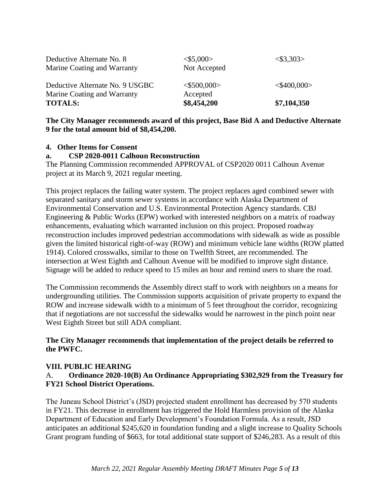| Marine Coating and Warranty<br><b>TOTALS:</b>            | Accepted<br>\$8,454,200              | \$7,104,350           |
|----------------------------------------------------------|--------------------------------------|-----------------------|
| Deductive Alternate No. 9 USGBC                          | $<$ \$500,000 $>$                    | $<$ \$400,000>        |
| Deductive Alternate No. 8<br>Marine Coating and Warranty | $<\frac{$5,000>}{5}$<br>Not Accepted | $<\frac{$3,303>}{2}\$ |

### **The City Manager recommends award of this project, Base Bid A and Deductive Alternate 9 for the total amount bid of \$8,454,200.**

## **4. Other Items for Consent**

## **a. CSP 2020-0011 Calhoun Reconstruction**

The Planning Commission recommended APPROVAL of CSP2020 0011 Calhoun Avenue project at its March 9, 2021 regular meeting.

This project replaces the failing water system. The project replaces aged combined sewer with separated sanitary and storm sewer systems in accordance with Alaska Department of Environmental Conservation and U.S. Environmental Protection Agency standards. CBJ Engineering & Public Works (EPW) worked with interested neighbors on a matrix of roadway enhancements, evaluating which warranted inclusion on this project. Proposed roadway reconstruction includes improved pedestrian accommodations with sidewalk as wide as possible given the limited historical right-of-way (ROW) and minimum vehicle lane widths (ROW platted 1914). Colored crosswalks, similar to those on Twelfth Street, are recommended. The intersection at West Eighth and Calhoun Avenue will be modified to improve sight distance. Signage will be added to reduce speed to 15 miles an hour and remind users to share the road.

The Commission recommends the Assembly direct staff to work with neighbors on a means for undergrounding utilities. The Commission supports acquisition of private property to expand the ROW and increase sidewalk width to a minimum of 5 feet throughout the corridor, recognizing that if negotiations are not successful the sidewalks would be narrowest in the pinch point near West Eighth Street but still ADA compliant.

## **The City Manager recommends that implementation of the project details be referred to the PWFC.**

#### **VIII. PUBLIC HEARING**

## A. **Ordinance 2020-10(B) An Ordinance Appropriating \$302,929 from the Treasury for FY21 School District Operations.**

The Juneau School District's (JSD) projected student enrollment has decreased by 570 students in FY21. This decrease in enrollment has triggered the Hold Harmless provision of the Alaska Department of Education and Early Development's Foundation Formula. As a result, JSD anticipates an additional \$245,620 in foundation funding and a slight increase to Quality Schools Grant program funding of \$663, for total additional state support of \$246,283. As a result of this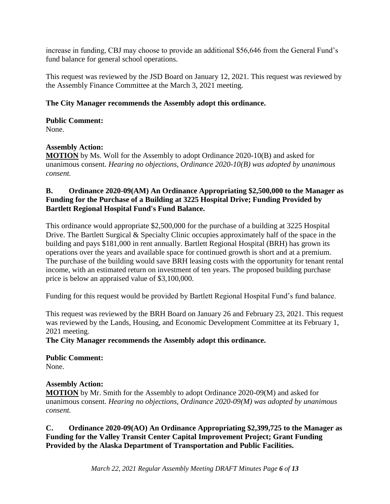increase in funding, CBJ may choose to provide an additional \$56,646 from the General Fund's fund balance for general school operations.

This request was reviewed by the JSD Board on January 12, 2021. This request was reviewed by the Assembly Finance Committee at the March 3, 2021 meeting.

## **The City Manager recommends the Assembly adopt this ordinance.**

**Public Comment:** None.

### **Assembly Action:**

**MOTION** by Ms. Woll for the Assembly to adopt Ordinance 2020-10(B) and asked for unanimous consent. *Hearing no objections, Ordinance 2020-10(B) was adopted by unanimous consent.*

### **B. Ordinance 2020-09(AM) An Ordinance Appropriating \$2,500,000 to the Manager as Funding for the Purchase of a Building at 3225 Hospital Drive; Funding Provided by Bartlett Regional Hospital Fund's Fund Balance.**

This ordinance would appropriate \$2,500,000 for the purchase of a building at 3225 Hospital Drive. The Bartlett Surgical & Specialty Clinic occupies approximately half of the space in the building and pays \$181,000 in rent annually. Bartlett Regional Hospital (BRH) has grown its operations over the years and available space for continued growth is short and at a premium. The purchase of the building would save BRH leasing costs with the opportunity for tenant rental income, with an estimated return on investment of ten years. The proposed building purchase price is below an appraised value of \$3,100,000.

Funding for this request would be provided by Bartlett Regional Hospital Fund's fund balance.

This request was reviewed by the BRH Board on January 26 and February 23, 2021. This request was reviewed by the Lands, Housing, and Economic Development Committee at its February 1, 2021 meeting.

**The City Manager recommends the Assembly adopt this ordinance.**

**Public Comment:** None.

#### **Assembly Action:**

**MOTION** by Mr. Smith for the Assembly to adopt Ordinance 2020-09(M) and asked for unanimous consent. *Hearing no objections, Ordinance 2020-09(M) was adopted by unanimous consent.* 

**C. Ordinance 2020-09(AO) An Ordinance Appropriating \$2,399,725 to the Manager as Funding for the Valley Transit Center Capital Improvement Project; Grant Funding Provided by the Alaska Department of Transportation and Public Facilities.**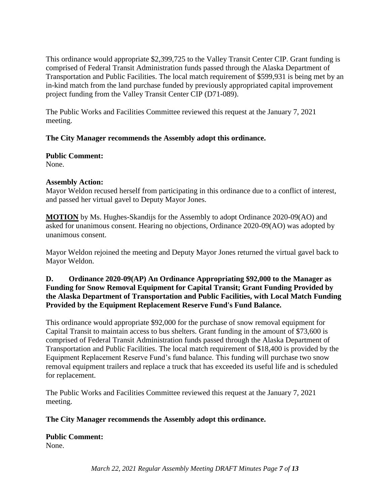This ordinance would appropriate \$2,399,725 to the Valley Transit Center CIP. Grant funding is comprised of Federal Transit Administration funds passed through the Alaska Department of Transportation and Public Facilities. The local match requirement of \$599,931 is being met by an in-kind match from the land purchase funded by previously appropriated capital improvement project funding from the Valley Transit Center CIP (D71-089).

The Public Works and Facilities Committee reviewed this request at the January 7, 2021 meeting.

# **The City Manager recommends the Assembly adopt this ordinance.**

**Public Comment:** None.

## **Assembly Action:**

Mayor Weldon recused herself from participating in this ordinance due to a conflict of interest, and passed her virtual gavel to Deputy Mayor Jones.

**MOTION** by Ms. Hughes-Skandijs for the Assembly to adopt Ordinance 2020-09(AO) and asked for unanimous consent. Hearing no objections, Ordinance 2020-09(AO) was adopted by unanimous consent.

Mayor Weldon rejoined the meeting and Deputy Mayor Jones returned the virtual gavel back to Mayor Weldon.

## **D. Ordinance 2020-09(AP) An Ordinance Appropriating \$92,000 to the Manager as Funding for Snow Removal Equipment for Capital Transit; Grant Funding Provided by the Alaska Department of Transportation and Public Facilities, with Local Match Funding Provided by the Equipment Replacement Reserve Fund's Fund Balance.**

This ordinance would appropriate \$92,000 for the purchase of snow removal equipment for Capital Transit to maintain access to bus shelters. Grant funding in the amount of \$73,600 is comprised of Federal Transit Administration funds passed through the Alaska Department of Transportation and Public Facilities. The local match requirement of \$18,400 is provided by the Equipment Replacement Reserve Fund's fund balance. This funding will purchase two snow removal equipment trailers and replace a truck that has exceeded its useful life and is scheduled for replacement.

The Public Works and Facilities Committee reviewed this request at the January 7, 2021 meeting.

## **The City Manager recommends the Assembly adopt this ordinance.**

**Public Comment:** None.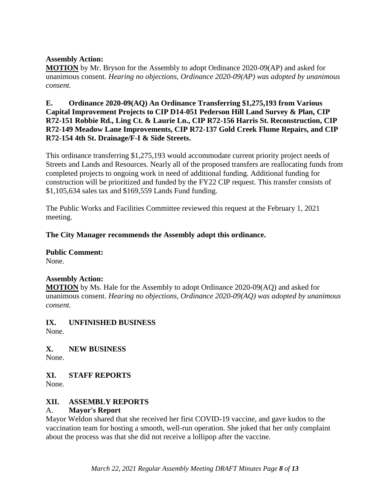### **Assembly Action:**

**MOTION** by Mr. Bryson for the Assembly to adopt Ordinance 2020-09(AP) and asked for unanimous consent. *Hearing no objections, Ordinance 2020-09(AP) was adopted by unanimous consent.*

**E. Ordinance 2020-09(AQ) An Ordinance Transferring \$1,275,193 from Various Capital Improvement Projects to CIP D14-051 Pederson Hill Land Survey & Plan, CIP R72-151 Robbie Rd., Ling Ct. & Laurie Ln., CIP R72-156 Harris St. Reconstruction, CIP R72-149 Meadow Lane Improvements, CIP R72-137 Gold Creek Flume Repairs, and CIP R72-154 4th St. Drainage/F-I & Side Streets.**

This ordinance transferring \$1,275,193 would accommodate current priority project needs of Streets and Lands and Resources. Nearly all of the proposed transfers are reallocating funds from completed projects to ongoing work in need of additional funding. Additional funding for construction will be prioritized and funded by the FY22 CIP request. This transfer consists of \$1,105,634 sales tax and \$169,559 Lands Fund funding.

The Public Works and Facilities Committee reviewed this request at the February 1, 2021 meeting.

**The City Manager recommends the Assembly adopt this ordinance.**

**Public Comment:**  None.

#### **Assembly Action:**

**MOTION** by Ms. Hale for the Assembly to adopt Ordinance 2020-09(AQ) and asked for unanimous consent. *Hearing no objections, Ordinance 2020-09(AQ) was adopted by unanimous consent.*

## **IX. UNFINISHED BUSINESS**

None.

**X. NEW BUSINESS**

None.

## **XI. STAFF REPORTS**

None.

## **XII. ASSEMBLY REPORTS**

## A. **Mayor's Report**

Mayor Weldon shared that she received her first COVID-19 vaccine, and gave kudos to the vaccination team for hosting a smooth, well-run operation. She joked that her only complaint about the process was that she did not receive a lollipop after the vaccine.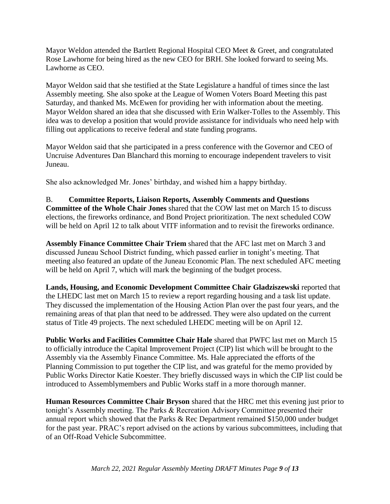Mayor Weldon attended the Bartlett Regional Hospital CEO Meet & Greet, and congratulated Rose Lawhorne for being hired as the new CEO for BRH. She looked forward to seeing Ms. Lawhorne as CEO.

Mayor Weldon said that she testified at the State Legislature a handful of times since the last Assembly meeting. She also spoke at the League of Women Voters Board Meeting this past Saturday, and thanked Ms. McEwen for providing her with information about the meeting. Mayor Weldon shared an idea that she discussed with Erin Walker-Tolles to the Assembly. This idea was to develop a position that would provide assistance for individuals who need help with filling out applications to receive federal and state funding programs.

Mayor Weldon said that she participated in a press conference with the Governor and CEO of Uncruise Adventures Dan Blanchard this morning to encourage independent travelers to visit Juneau.

She also acknowledged Mr. Jones' birthday, and wished him a happy birthday.

B. **Committee Reports, Liaison Reports, Assembly Comments and Questions Committee of the Whole Chair Jones** shared that the COW last met on March 15 to discuss elections, the fireworks ordinance, and Bond Project prioritization. The next scheduled COW will be held on April 12 to talk about VITF information and to revisit the fireworks ordinance.

**Assembly Finance Committee Chair Triem** shared that the AFC last met on March 3 and discussed Juneau School District funding, which passed earlier in tonight's meeting. That meeting also featured an update of the Juneau Economic Plan. The next scheduled AFC meeting will be held on April 7, which will mark the beginning of the budget process.

**Lands, Housing, and Economic Development Committee Chair Gladziszewski** reported that the LHEDC last met on March 15 to review a report regarding housing and a task list update. They discussed the implementation of the Housing Action Plan over the past four years, and the remaining areas of that plan that need to be addressed. They were also updated on the current status of Title 49 projects. The next scheduled LHEDC meeting will be on April 12.

**Public Works and Facilities Committee Chair Hale** shared that PWFC last met on March 15 to officially introduce the Capital Improvement Project (CIP) list which will be brought to the Assembly via the Assembly Finance Committee. Ms. Hale appreciated the efforts of the Planning Commission to put together the CIP list, and was grateful for the memo provided by Public Works Director Katie Koester. They briefly discussed ways in which the CIP list could be introduced to Assemblymembers and Public Works staff in a more thorough manner.

**Human Resources Committee Chair Bryson** shared that the HRC met this evening just prior to tonight's Assembly meeting. The Parks & Recreation Advisory Committee presented their annual report which showed that the Parks & Rec Department remained \$150,000 under budget for the past year. PRAC's report advised on the actions by various subcommittees, including that of an Off-Road Vehicle Subcommittee.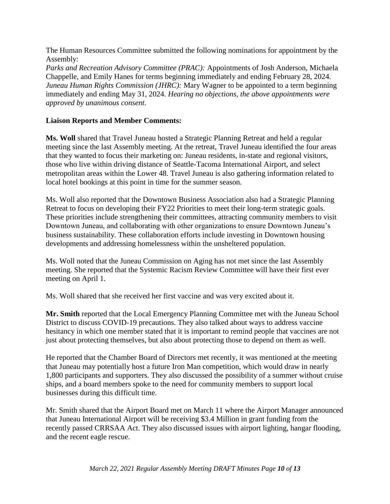The Human Resources Committee submitted the following nominations for appointment by the Assembly:

*Parks and Recreation Advisory Committee (PRAC):* Appointments of Josh Anderson, Michaela Chappelle, and Emily Hanes for terms beginning immediately and ending February 28, 2024. *Juneau Human Rights Commission (JHRC):* Mary Wagner to be appointed to a term beginning immediately and ending May 31, 2024. *Hearing no objections, the above appointments were approved by unanimous consent.* 

### **Liaison Reports and Member Comments:**

**Ms. Woll** shared that Travel Juneau hosted a Strategic Planning Retreat and held a regular meeting since the last Assembly meeting. At the retreat, Travel Juneau identified the four areas that they wanted to focus their marketing on: Juneau residents, in-state and regional visitors, those who live within driving distance of Seattle-Tacoma International Airport, and select metropolitan areas within the Lower 48. Travel Juneau is also gathering information related to local hotel bookings at this point in time for the summer season.

Ms. Woll also reported that the Downtown Business Association also had a Strategic Planning Retreat to focus on developing their FY22 Priorities to meet their long-term strategic goals. These priorities include strengthening their committees, attracting community members to visit Downtown Juneau, and collaborating with other organizations to ensure Downtown Juneau's business sustainability. These collaboration efforts include investing in Downtown housing developments and addressing homelessness within the unsheltered population.

Ms. Woll noted that the Juneau Commission on Aging has not met since the last Assembly meeting. She reported that the Systemic Racism Review Committee will have their first ever meeting on April 1.

Ms. Woll shared that she received her first vaccine and was very excited about it.

**Mr. Smith** reported that the Local Emergency Planning Committee met with the Juneau School District to discuss COVID-19 precautions. They also talked about ways to address vaccine hesitancy in which one member stated that it is important to remind people that vaccines are not just about protecting themselves, but also about protecting those to depend on them as well.

He reported that the Chamber Board of Directors met recently, it was mentioned at the meeting that Juneau may potentially host a future Iron Man competition, which would draw in nearly 1,800 participants and supporters. They also discussed the possibility of a summer without cruise ships, and a board members spoke to the need for community members to support local businesses during this difficult time.

Mr. Smith shared that the Airport Board met on March 11 where the Airport Manager announced that Juneau International Airport will be receiving \$3.4 Million in grant funding from the recently passed CRRSAA Act. They also discussed issues with airport lighting, hangar flooding, and the recent eagle rescue.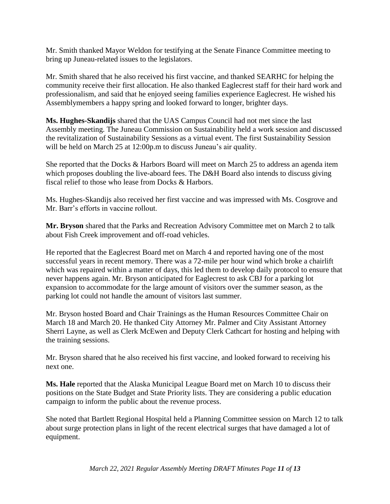Mr. Smith thanked Mayor Weldon for testifying at the Senate Finance Committee meeting to bring up Juneau-related issues to the legislators.

Mr. Smith shared that he also received his first vaccine, and thanked SEARHC for helping the community receive their first allocation. He also thanked Eaglecrest staff for their hard work and professionalism, and said that he enjoyed seeing families experience Eaglecrest. He wished his Assemblymembers a happy spring and looked forward to longer, brighter days.

**Ms. Hughes-Skandijs** shared that the UAS Campus Council had not met since the last Assembly meeting. The Juneau Commission on Sustainability held a work session and discussed the revitalization of Sustainability Sessions as a virtual event. The first Sustainability Session will be held on March 25 at 12:00p.m to discuss Juneau's air quality.

She reported that the Docks & Harbors Board will meet on March 25 to address an agenda item which proposes doubling the live-aboard fees. The D&H Board also intends to discuss giving fiscal relief to those who lease from Docks & Harbors.

Ms. Hughes-Skandijs also received her first vaccine and was impressed with Ms. Cosgrove and Mr. Barr's efforts in vaccine rollout.

**Mr. Bryson** shared that the Parks and Recreation Advisory Committee met on March 2 to talk about Fish Creek improvement and off-road vehicles.

He reported that the Eaglecrest Board met on March 4 and reported having one of the most successful years in recent memory. There was a 72-mile per hour wind which broke a chairlift which was repaired within a matter of days, this led them to develop daily protocol to ensure that never happens again. Mr. Bryson anticipated for Eaglecrest to ask CBJ for a parking lot expansion to accommodate for the large amount of visitors over the summer season, as the parking lot could not handle the amount of visitors last summer.

Mr. Bryson hosted Board and Chair Trainings as the Human Resources Committee Chair on March 18 and March 20. He thanked City Attorney Mr. Palmer and City Assistant Attorney Sherri Layne, as well as Clerk McEwen and Deputy Clerk Cathcart for hosting and helping with the training sessions.

Mr. Bryson shared that he also received his first vaccine, and looked forward to receiving his next one.

**Ms. Hale** reported that the Alaska Municipal League Board met on March 10 to discuss their positions on the State Budget and State Priority lists. They are considering a public education campaign to inform the public about the revenue process.

She noted that Bartlett Regional Hospital held a Planning Committee session on March 12 to talk about surge protection plans in light of the recent electrical surges that have damaged a lot of equipment.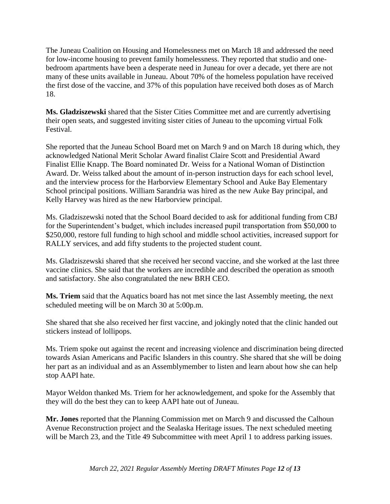The Juneau Coalition on Housing and Homelessness met on March 18 and addressed the need for low-income housing to prevent family homelessness. They reported that studio and onebedroom apartments have been a desperate need in Juneau for over a decade, yet there are not many of these units available in Juneau. About 70% of the homeless population have received the first dose of the vaccine, and 37% of this population have received both doses as of March 18.

**Ms. Gladziszewski** shared that the Sister Cities Committee met and are currently advertising their open seats, and suggested inviting sister cities of Juneau to the upcoming virtual Folk Festival.

She reported that the Juneau School Board met on March 9 and on March 18 during which, they acknowledged National Merit Scholar Award finalist Claire Scott and Presidential Award Finalist Ellie Knapp. The Board nominated Dr. Weiss for a National Woman of Distinction Award. Dr. Weiss talked about the amount of in-person instruction days for each school level, and the interview process for the Harborview Elementary School and Auke Bay Elementary School principal positions. William Sarandria was hired as the new Auke Bay principal, and Kelly Harvey was hired as the new Harborview principal.

Ms. Gladziszewski noted that the School Board decided to ask for additional funding from CBJ for the Superintendent's budget, which includes increased pupil transportation from \$50,000 to \$250,000, restore full funding to high school and middle school activities, increased support for RALLY services, and add fifty students to the projected student count.

Ms. Gladziszewski shared that she received her second vaccine, and she worked at the last three vaccine clinics. She said that the workers are incredible and described the operation as smooth and satisfactory. She also congratulated the new BRH CEO.

**Ms. Triem** said that the Aquatics board has not met since the last Assembly meeting, the next scheduled meeting will be on March 30 at 5:00p.m.

She shared that she also received her first vaccine, and jokingly noted that the clinic handed out stickers instead of lollipops.

Ms. Triem spoke out against the recent and increasing violence and discrimination being directed towards Asian Americans and Pacific Islanders in this country. She shared that she will be doing her part as an individual and as an Assemblymember to listen and learn about how she can help stop AAPI hate.

Mayor Weldon thanked Ms. Triem for her acknowledgement, and spoke for the Assembly that they will do the best they can to keep AAPI hate out of Juneau.

**Mr. Jones** reported that the Planning Commission met on March 9 and discussed the Calhoun Avenue Reconstruction project and the Sealaska Heritage issues. The next scheduled meeting will be March 23, and the Title 49 Subcommittee with meet April 1 to address parking issues.